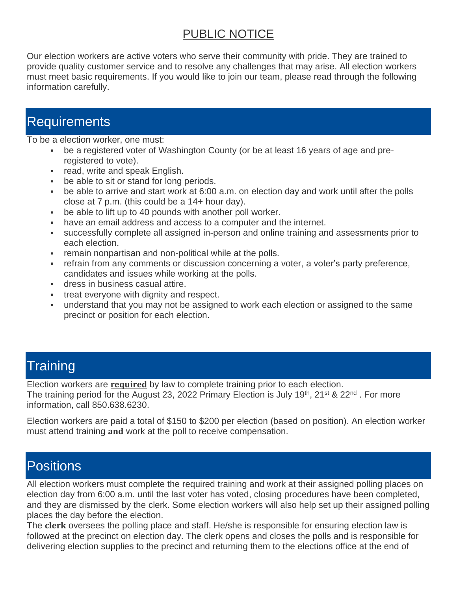### PUBLIC NOTICE

Our election workers are active voters who serve their community with pride. They are trained to provide quality customer service and to resolve any challenges that may arise. All election workers must meet basic requirements. If you would like to join our team, please read through the following information carefully.

## **Requirements**

To be a election worker, one must:

- be a registered voter of Washington County (or be at least 16 years of age and preregistered to vote).
- **•** read, write and speak English.
- be able to sit or stand for long periods.
- be able to arrive and start work at 6:00 a.m. on election day and work until after the polls close at 7 p.m. (this could be a 14+ hour day).
- be able to lift up to 40 pounds with another poll worker.
- have an email address and access to a computer and the internet.
- successfully complete all assigned in-person and online training and assessments prior to each election.
- **remain nonpartisan and non-political while at the polls.**
- **refrain from any comments or discussion concerning a voter, a voter's party preference,** candidates and issues while working at the polls.
- **EXEC** dress in business casual attire.
- treat everyone with dignity and respect.
- **■** understand that you may not be assigned to work each election or assigned to the same precinct or position for each election.

### **Training**

Election workers are **required** by law to complete training prior to each election. The training period for the August 23, 2022 Primary Election is July 19<sup>th</sup>, 21<sup>st</sup> & 22<sup>nd</sup>. For more information, call 850.638.6230.

Election workers are paid a total of \$150 to \$200 per election (based on position). An election worker must attend training **and** work at the poll to receive compensation.

### **Positions**

All election workers must complete the required training and work at their assigned polling places on election day from 6:00 a.m. until the last voter has voted, closing procedures have been completed, and they are dismissed by the clerk. Some election workers will also help set up their assigned polling places the day before the election.

The **clerk** oversees the polling place and staff. He/she is responsible for ensuring election law is followed at the precinct on election day. The clerk opens and closes the polls and is responsible for delivering election supplies to the precinct and returning them to the elections office at the end of